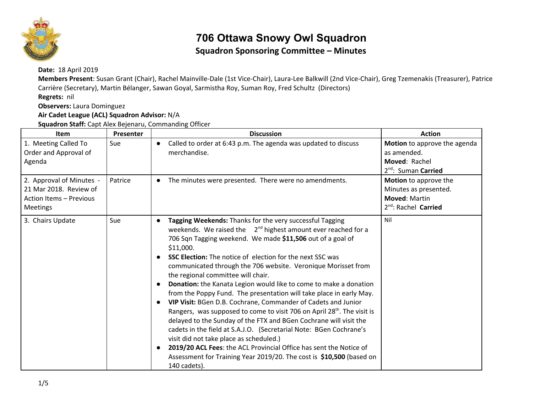

# **706 Ottawa Snowy Owl Squadron**

#### **Squadron Sponsoring Committee – Minutes**

**Date:** 18 April 2019

**Members Present**: Susan Grant (Chair), Rachel Mainville-Dale (1st Vice-Chair), Laura-Lee Balkwill (2nd Vice-Chair), Greg Tzemenakis (Treasurer), Patrice Carrière (Secretary), Martin Bélanger, Sawan Goyal, Sarmistha Roy, Suman Roy, Fred Schultz (Directors)

**Regrets:** nil

**Observers:** Laura Dominguez

**Air Cadet League (ACL) Squadron Advisor:** N/A

**Squadron Staff:** Capt Alex Bejenaru, Commanding Officer

| <b>Item</b>                                                                                      | Presenter | <b>Discussion</b>                                                                                                                                                                                                                                                                                                                                                                                                                                                                                                                                                                                                                                                                                                                                                                                                                                                                                                                                                                                                                                                                                                 | <b>Action</b>                                                                                              |
|--------------------------------------------------------------------------------------------------|-----------|-------------------------------------------------------------------------------------------------------------------------------------------------------------------------------------------------------------------------------------------------------------------------------------------------------------------------------------------------------------------------------------------------------------------------------------------------------------------------------------------------------------------------------------------------------------------------------------------------------------------------------------------------------------------------------------------------------------------------------------------------------------------------------------------------------------------------------------------------------------------------------------------------------------------------------------------------------------------------------------------------------------------------------------------------------------------------------------------------------------------|------------------------------------------------------------------------------------------------------------|
| 1. Meeting Called To<br>Order and Approval of<br>Agenda                                          | Sue       | Called to order at 6:43 p.m. The agenda was updated to discuss<br>$\bullet$<br>merchandise.                                                                                                                                                                                                                                                                                                                                                                                                                                                                                                                                                                                                                                                                                                                                                                                                                                                                                                                                                                                                                       | <b>Motion</b> to approve the agenda<br>as amended.<br>Moved: Rachel<br>2 <sup>nd</sup> : Suman Carried     |
| 2. Approval of Minutes -<br>21 Mar 2018. Review of<br>Action Items - Previous<br><b>Meetings</b> | Patrice   | The minutes were presented. There were no amendments.<br>$\bullet$                                                                                                                                                                                                                                                                                                                                                                                                                                                                                                                                                                                                                                                                                                                                                                                                                                                                                                                                                                                                                                                | Motion to approve the<br>Minutes as presented.<br><b>Moved: Martin</b><br>2 <sup>nd</sup> : Rachel Carried |
| 3. Chairs Update                                                                                 | Sue       | Tagging Weekends: Thanks for the very successful Tagging<br>$\bullet$<br>weekends. We raised the $2nd$ highest amount ever reached for a<br>706 Sqn Tagging weekend. We made \$11,506 out of a goal of<br>\$11,000.<br><b>SSC Election:</b> The notice of election for the next SSC was<br>$\bullet$<br>communicated through the 706 website. Veronique Morisset from<br>the regional committee will chair.<br><b>Donation:</b> the Kanata Legion would like to come to make a donation<br>$\bullet$<br>from the Poppy Fund. The presentation will take place in early May.<br>VIP Visit: BGen D.B. Cochrane, Commander of Cadets and Junior<br>$\bullet$<br>Rangers, was supposed to come to visit 706 on April 28 <sup>th</sup> . The visit is<br>delayed to the Sunday of the FTX and BGen Cochrane will visit the<br>cadets in the field at S.A.J.O. (Secretarial Note: BGen Cochrane's<br>visit did not take place as scheduled.)<br>2019/20 ACL Fees: the ACL Provincial Office has sent the Notice of<br>$\bullet$<br>Assessment for Training Year 2019/20. The cost is \$10,500 (based on<br>140 cadets). | Nil                                                                                                        |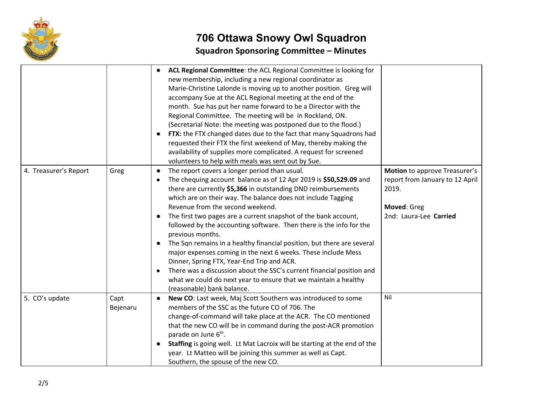

## **706 Ottawa Snowy Owl Squadron Squadron Sponsoring Committee – Minutes**

|                       |                  | ACL Regional Committee: the ACL Regional Committee is looking for<br>new membership, including a new regional coordinator as<br>Marie-Christine Lalonde is moving up to another position. Greg will<br>accompany Sue at the ACL Regional meeting at the end of the<br>month. Sue has put her name forward to be a Director with the<br>Regional Committee. The meeting will be in Rockland, ON.<br>(Secretarial Note: the meeting was postponed due to the flood.)<br>FTX: the FTX changed dates due to the fact that many Squadrons had<br>$\bullet$<br>requested their FTX the first weekend of May, thereby making the<br>availability of supplies more complicated. A request for screened<br>volunteers to help with meals was sent out by Sue.                                                                                                                         |                                                                                                                    |
|-----------------------|------------------|------------------------------------------------------------------------------------------------------------------------------------------------------------------------------------------------------------------------------------------------------------------------------------------------------------------------------------------------------------------------------------------------------------------------------------------------------------------------------------------------------------------------------------------------------------------------------------------------------------------------------------------------------------------------------------------------------------------------------------------------------------------------------------------------------------------------------------------------------------------------------|--------------------------------------------------------------------------------------------------------------------|
| 4. Treasurer's Report | Greg             | The report covers a longer period than usual.<br>$\bullet$<br>The chequing account balance as of 12 Apr 2019 is \$50,529.09 and<br>there are currently \$5,366 in outstanding DND reimbursements<br>which are on their way. The balance does not include Tagging<br>Revenue from the second weekend.<br>The first two pages are a current snapshot of the bank account,<br>$\bullet$<br>followed by the accounting software. Then there is the info for the<br>previous months.<br>The Sqn remains in a healthy financial position, but there are several<br>$\bullet$<br>major expenses coming in the next 6 weeks. These include Mess<br>Dinner, Spring FTX, Year-End Trip and ACR.<br>There was a discussion about the SSC's current financial position and<br>$\bullet$<br>what we could do next year to ensure that we maintain a healthy<br>(reasonable) bank balance. | Motion to approve Treasurer's<br>report from January to 12 April<br>2019.<br>Moved: Greg<br>2nd: Laura-Lee Carried |
| 5. CO's update        | Capt<br>Bejenaru | New CO: Last week, Maj Scott Southern was introduced to some<br>$\bullet$<br>members of the SSC as the future CO of 706. The<br>change-of-command will take place at the ACR. The CO mentioned<br>that the new CO will be in command during the post-ACR promotion<br>parade on June 6 <sup>th</sup> .<br>Staffing is going well. Lt Mat Lacroix will be starting at the end of the<br>$\bullet$<br>year. Lt Matteo will be joining this summer as well as Capt.<br>Southern, the spouse of the new CO.                                                                                                                                                                                                                                                                                                                                                                      | Nil                                                                                                                |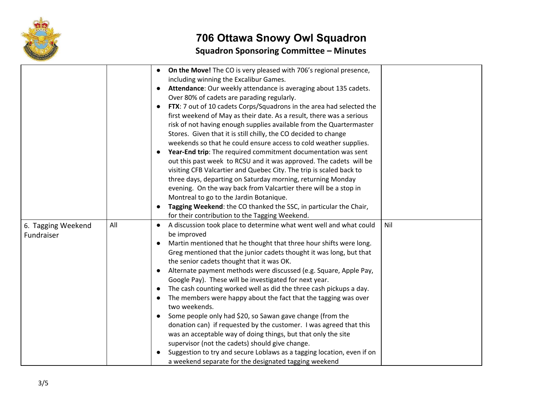

## **706 Ottawa Snowy Owl Squadron Squadron Sponsoring Committee – Minutes**

|                    |     | On the Move! The CO is very pleased with 706's regional presence,<br>$\bullet$         |
|--------------------|-----|----------------------------------------------------------------------------------------|
|                    |     | including winning the Excalibur Games.                                                 |
|                    |     | Attendance: Our weekly attendance is averaging about 135 cadets.<br>$\bullet$          |
|                    |     | Over 80% of cadets are parading regularly.                                             |
|                    |     | FTX: 7 out of 10 cadets Corps/Squadrons in the area had selected the<br>$\bullet$      |
|                    |     | first weekend of May as their date. As a result, there was a serious                   |
|                    |     | risk of not having enough supplies available from the Quartermaster                    |
|                    |     | Stores. Given that it is still chilly, the CO decided to change                        |
|                    |     | weekends so that he could ensure access to cold weather supplies.                      |
|                    |     | Year-End trip: The required commitment documentation was sent                          |
|                    |     | out this past week to RCSU and it was approved. The cadets will be                     |
|                    |     | visiting CFB Valcartier and Quebec City. The trip is scaled back to                    |
|                    |     | three days, departing on Saturday morning, returning Monday                            |
|                    |     | evening. On the way back from Valcartier there will be a stop in                       |
|                    |     | Montreal to go to the Jardin Botanique.                                                |
|                    |     | Tagging Weekend: the CO thanked the SSC, in particular the Chair,                      |
|                    |     | for their contribution to the Tagging Weekend.                                         |
| 6. Tagging Weekend | All | Nil<br>A discussion took place to determine what went well and what could<br>$\bullet$ |
| Fundraiser         |     | be improved                                                                            |
|                    |     | Martin mentioned that he thought that three hour shifts were long.                     |
|                    |     | Greg mentioned that the junior cadets thought it was long, but that                    |
|                    |     | the senior cadets thought that it was OK.                                              |
|                    |     | Alternate payment methods were discussed (e.g. Square, Apple Pay,                      |
|                    |     | Google Pay). These will be investigated for next year.                                 |
|                    |     | The cash counting worked well as did the three cash pickups a day.                     |
|                    |     | The members were happy about the fact that the tagging was over                        |
|                    |     | two weekends.                                                                          |
|                    |     | Some people only had \$20, so Sawan gave change (from the<br>$\bullet$                 |
|                    |     | donation can) if requested by the customer. I was agreed that this                     |
|                    |     | was an acceptable way of doing things, but that only the site                          |
|                    |     | supervisor (not the cadets) should give change.                                        |
|                    |     | Suggestion to try and secure Loblaws as a tagging location, even if on                 |
|                    |     | a weekend separate for the designated tagging weekend                                  |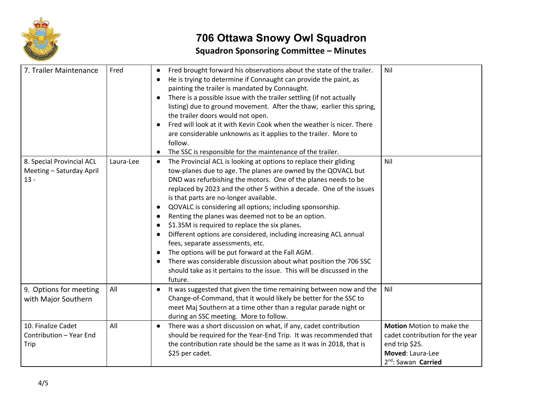

## **706 Ottawa Snowy Owl Squadron Squadron Sponsoring Committee – Minutes**

| 7. Trailer Maintenance                                          | Fred      | Fred brought forward his observations about the state of the trailer.<br>$\bullet$<br>He is trying to determine if Connaught can provide the paint, as<br>painting the trailer is mandated by Connaught.<br>There is a possible issue with the trailer settling (if not actually<br>$\bullet$<br>listing) due to ground movement. After the thaw, earlier this spring,<br>the trailer doors would not open.<br>Fred will look at it with Kevin Cook when the weather is nicer. There<br>are considerable unknowns as it applies to the trailer. More to<br>follow.<br>The SSC is responsible for the maintenance of the trailer.<br>$\bullet$                                                                                                                                                                                               | Nil                                                                                                                                   |
|-----------------------------------------------------------------|-----------|---------------------------------------------------------------------------------------------------------------------------------------------------------------------------------------------------------------------------------------------------------------------------------------------------------------------------------------------------------------------------------------------------------------------------------------------------------------------------------------------------------------------------------------------------------------------------------------------------------------------------------------------------------------------------------------------------------------------------------------------------------------------------------------------------------------------------------------------|---------------------------------------------------------------------------------------------------------------------------------------|
| 8. Special Provincial ACL<br>Meeting - Saturday April<br>$13 -$ | Laura-Lee | The Provincial ACL is looking at options to replace their gliding<br>$\bullet$<br>tow-planes due to age. The planes are owned by the QOVACL but<br>DND was refurbishing the motors. One of the planes needs to be<br>replaced by 2023 and the other 5 within a decade. One of the issues<br>is that parts are no-longer available.<br>QOVALC is considering all options; including sponsorship.<br>$\bullet$<br>Renting the planes was deemed not to be an option.<br>\$1.35M is required to replace the six planes.<br>Different options are considered, including increasing ACL annual<br>fees, separate assessments, etc.<br>The options will be put forward at the Fall AGM.<br>There was considerable discussion about what position the 706 SSC<br>should take as it pertains to the issue. This will be discussed in the<br>future. | Nil                                                                                                                                   |
| 9. Options for meeting<br>with Major Southern                   | All       | It was suggested that given the time remaining between now and the<br>$\bullet$<br>Change-of-Command, that it would likely be better for the SSC to<br>meet Maj Southern at a time other than a regular parade night or<br>during an SSC meeting. More to follow.                                                                                                                                                                                                                                                                                                                                                                                                                                                                                                                                                                           | Nil                                                                                                                                   |
| 10. Finalize Cadet<br>Contribution - Year End<br>Trip           | All       | There was a short discussion on what, if any, cadet contribution<br>$\bullet$<br>should be required for the Year-End Trip. It was recommended that<br>the contribution rate should be the same as it was in 2018, that is<br>\$25 per cadet.                                                                                                                                                                                                                                                                                                                                                                                                                                                                                                                                                                                                | Motion Motion to make the<br>cadet contribution for the year<br>end trip \$25.<br>Moved: Laura-Lee<br>2 <sup>nd</sup> : Sawan Carried |